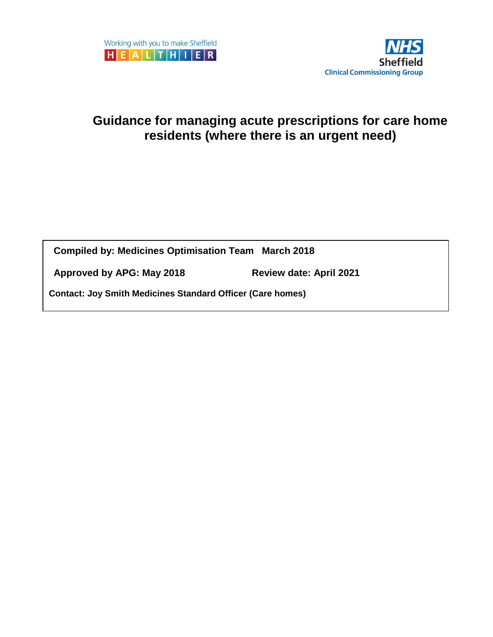

# **Guidance for managing acute prescriptions for care home residents (where there is an urgent need)**

**Compiled by: Medicines Optimisation Team March 2018** 

**Approved by APG: May 2018 Review date: April 2021**

**Contact: Joy Smith Medicines Standard Officer (Care homes)**